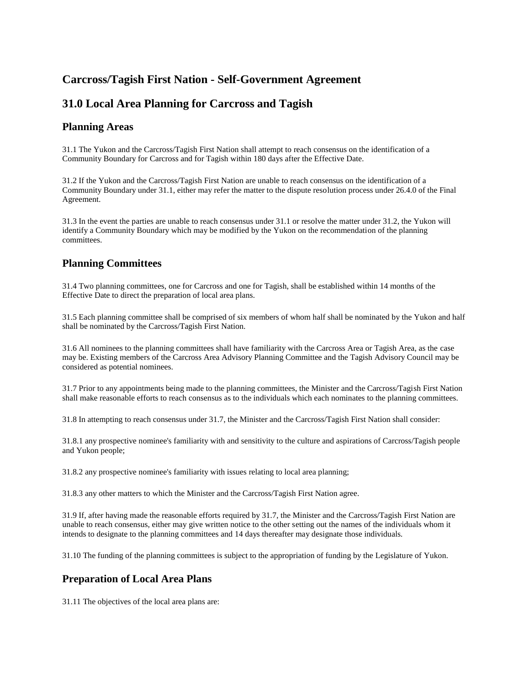# **Carcross/Tagish First Nation - Self-Government Agreement**

# **31.0 Local Area Planning for Carcross and Tagish**

#### **Planning Areas**

31.1 The Yukon and the Carcross/Tagish First Nation shall attempt to reach consensus on the identification of a Community Boundary for Carcross and for Tagish within 180 days after the Effective Date.

31.2 If the Yukon and the Carcross/Tagish First Nation are unable to reach consensus on the identification of a Community Boundary under 31.1, either may refer the matter to the dispute resolution process under 26.4.0 of the Final Agreement.

31.3 In the event the parties are unable to reach consensus under 31.1 or resolve the matter under 31.2, the Yukon will identify a Community Boundary which may be modified by the Yukon on the recommendation of the planning committees.

## **Planning Committees**

31.4 Two planning committees, one for Carcross and one for Tagish, shall be established within 14 months of the Effective Date to direct the preparation of local area plans.

31.5 Each planning committee shall be comprised of six members of whom half shall be nominated by the Yukon and half shall be nominated by the Carcross/Tagish First Nation.

31.6 All nominees to the planning committees shall have familiarity with the Carcross Area or Tagish Area, as the case may be. Existing members of the Carcross Area Advisory Planning Committee and the Tagish Advisory Council may be considered as potential nominees.

31.7 Prior to any appointments being made to the planning committees, the Minister and the Carcross/Tagish First Nation shall make reasonable efforts to reach consensus as to the individuals which each nominates to the planning committees.

31.8 In attempting to reach consensus under 31.7, the Minister and the Carcross/Tagish First Nation shall consider:

31.8.1 any prospective nominee's familiarity with and sensitivity to the culture and aspirations of Carcross/Tagish people and Yukon people;

31.8.2 any prospective nominee's familiarity with issues relating to local area planning;

31.8.3 any other matters to which the Minister and the Carcross/Tagish First Nation agree.

31.9 If, after having made the reasonable efforts required by 31.7, the Minister and the Carcross/Tagish First Nation are unable to reach consensus, either may give written notice to the other setting out the names of the individuals whom it intends to designate to the planning committees and 14 days thereafter may designate those individuals.

31.10 The funding of the planning committees is subject to the appropriation of funding by the Legislature of Yukon.

## **Preparation of Local Area Plans**

31.11 The objectives of the local area plans are: